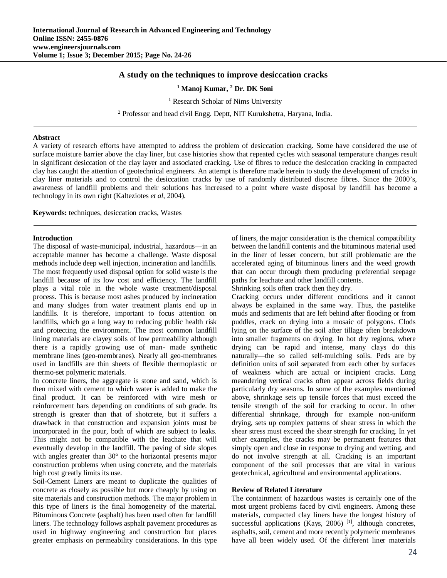# **A study on the techniques to improve desiccation cracks**

**<sup>1</sup> Manoj Kumar, <sup>2</sup> Dr. DK Soni**

<sup>1</sup> Research Scholar of Nims University

<sup>2</sup> Professor and head civil Engg. Deptt, NIT Kurukshetra, Haryana, India.

### **Abstract**

A variety of research efforts have attempted to address the problem of desiccation cracking. Some have considered the use of surface moisture barrier above the clay liner, but case histories show that repeated cycles with seasonal temperature changes result in significant desiccation of the clay layer and associated cracking. Use of fibres to reduce the desiccation cracking in compacted clay has caught the attention of geotechnical engineers. An attempt is therefore made herein to study the development of cracks in clay liner materials and to control the desiccation cracks by use of randomly distributed discrete fibres. Since the 2000's, awareness of landfill problems and their solutions has increased to a point where waste disposal by landfill has become a technology in its own right (Kalteziotes *et al*, 2004).

**Keywords:** techniques, desiccation cracks, Wastes

#### **Introduction**

The disposal of waste-municipal, industrial, hazardous—in an acceptable manner has become a challenge. Waste disposal methods include deep well injection, incineration and landfills. The most frequently used disposal option for solid waste is the landfill because of its low cost and efficiency. The landfill plays a vital role in the whole waste treatment/disposal process. This is because most ashes produced by incineration and many sludges from water treatment plants end up in landfills. It is therefore, important to focus attention on landfills, which go a long way to reducing public health risk and protecting the environment. The most common landfill lining materials are clayey soils of low permeability although there is a rapidly growing use of man- made synthetic membrane lines (geo-membranes). Nearly all geo-membranes used in landfills are thin sheets of flexible thermoplastic or thermo-set polymeric materials.

In concrete liners, the aggregate is stone and sand, which is then mixed with cement to which water is added to make the final product. It can be reinforced with wire mesh or reinforcement bars depending on conditions of sub grade. Its strength is greater than that of shotcrete, but it suffers a drawback in that construction and expansion joints must be incorporated in the pour, both of which are subject to leaks. This might not be compatible with the leachate that will eventually develop in the landfill. The paving of side slopes with angles greater than 30° to the horizontal presents major construction problems when using concrete, and the materials high cost greatly limits its use.

Soil-Cement Liners are meant to duplicate the qualities of concrete as closely as possible but more cheaply by using on site materials and construction methods. The major problem in this type of liners is the final homogeneity of the material. Bituminous Concrete (asphalt) has been used often for landfill liners. The technology follows asphalt pavement procedures as used in highway engineering and construction but places greater emphasis on permeability considerations. In this type

of liners, the major consideration is the chemical compatibility between the landfill contents and the bituminous material used in the liner of lesser concern, but still problematic are the accelerated aging of bituminous liners and the weed growth that can occur through them producing preferential seepage paths for leachate and other landfill contents.

Shrinking soils often crack then they dry.

Cracking occurs under different conditions and it cannot always be explained in the same way. Thus, the pastelike muds and sediments that are left behind after flooding or from puddles, crack on drying into a mosaic of polygons. Clods lying on the surface of the soil after tillage often breakdown into smaller fragments on drying. In hot dry regions, where drying can be rapid and intense, many clays do this naturally—the so called self-mulching soils. Peds are by definition units of soil separated from each other by surfaces of weakness which are actual or incipient cracks. Long meandering vertical cracks often appear across fields during particularly dry seasons. In some of the examples mentioned above, shrinkage sets up tensile forces that must exceed the tensile strength of the soil for cracking to occur. In other differential shrinkage, through for example non-uniform drying, sets up complex patterns of shear stress in which the shear stress must exceed the shear strength for cracking. In yet other examples, the cracks may be permanent features that simply open and close in response to drying and wetting, and do not involve strength at all. Cracking is an important component of the soil processes that are vital in various geotechnical, agricultural and environmental applications.

## **Review of Related Literature**

The containment of hazardous wastes is certainly one of the most urgent problems faced by civil engineers. Among these materials, compacted clay liners have the longest history of successful applications (Kays, 2006)<sup>[1]</sup>, although concretes, asphalts, soil, cement and more recently polymeric membranes have all been widely used. Of the different liner materials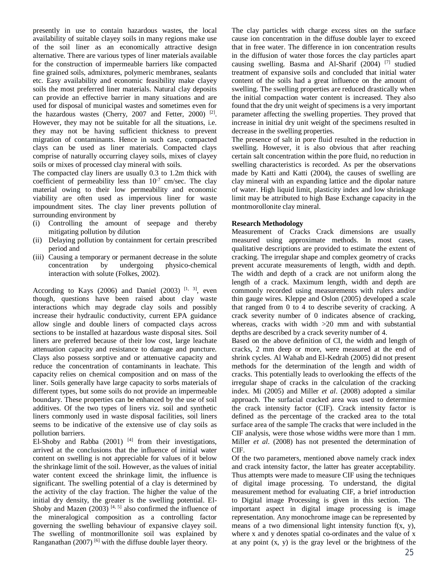presently in use to contain hazardous wastes, the local availability of suitable clayey soils in many regions make use of the soil liner as an economically attractive design alternative. There are various types of liner materials available for the construction of impermeable barriers like compacted fine grained soils, admixtures, polymeric membranes, sealants etc. Easy availability and economic feasibility make clayey soils the most preferred liner materials. Natural clay deposits can provide an effective barrier in many situations and are used for disposal of municipal wastes and sometimes even for the hazardous wastes (Cherry, 2007 and Fetter, 2000)<sup>[2]</sup>. However, they may not be suitable for all the situations, i.e. they may not be having sufficient thickness to prevent migration of contaminants. Hence in such case, compacted clays can be used as liner materials. Compacted clays comprise of naturally occurring clayey soils, mixes of clayey soils or mixes of processed clay mineral with soils.

The compacted clay liners are usually 0.3 to 1.2m thick with coefficient of permeability less than  $10^{-7}$  cm/sec. The clay material owing to their low permeability and economic viability are often used as impervious liner for waste impoundment sites. The clay liner prevents pollution of surrounding environment by

- (i) Controlling the amount of seepage and thereby mitigating pollution by dilution
- (ii) Delaying pollution by containment for certain prescribed period and
- (iii) Causing a temporary or permanent decrease in the solute concentration by undergoing physico-chemical interaction with solute (Folkes, 2002).

According to Kays (2006) and Daniel (2003)  $[1, 3]$ , even though, questions have been raised about clay waste interactions which may degrade clay soils and possibly increase their hydraulic conductivity, current EPA guidance allow single and double liners of compacted clays across sections to be installed at hazardous waste disposal sites. Soil liners are preferred because of their low cost, large leachate attenuation capacity and resistance to damage and puncture. Clays also possess sorptive and or attenuative capacity and reduce the concentration of contaminants in leachate. This capacity relies on chemical composition and on mass of the liner. Soils generally have large capacity to sorbs materials of different types, but some soils do not provide an impermeable boundary. These properties can be enhanced by the use of soil additives. Of the two types of liners viz. soil and synthetic liners commonly used in waste disposal facilities, soil liners seems to be indicative of the extensive use of clay soils as pollution barriers.

El-Shoby and Rabba  $(2001)$ <sup>[4]</sup> from their investigations, arrived at the conclusions that the influence of initial water content on swelling is not appreciable for values of it below the shrinkage limit of the soil. However, as the values of initial water content exceed the shrinkage limit, the influence is significant. The swelling potential of a clay is determined by the activity of the clay fraction. The higher the value of the initial dry density, the greater is the swelling potential. El-Shoby and Mazen  $(2003)$  [4, 5] also confirmed the influence of the mineralogical composition as a controlling factor governing the swelling behaviour of expansive clayey soil. The swelling of montmorillonite soil was explained by Ranganathan  $(2007)$ <sup>[6]</sup> with the diffuse double layer theory.

The clay particles with charge excess sites on the surface cause ion concentration in the diffuse double layer to exceed that in free water. The difference in ion concentration results in the diffusion of water those forces the clay particles apart causing swelling. Basma and Al-Sharif (2004) [7] studied treatment of expansive soils and concluded that initial water content of the soils had a great influence on the amount of swelling. The swelling properties are reduced drastically when the initial compaction water content is increased. They also found that the dry unit weight of specimens is a very important parameter affecting the swelling properties. They proved that increase in initial dry unit weight of the specimens resulted in decrease in the swelling properties.

The presence of salt in pore fluid resulted in the reduction in swelling. However, it is also obvious that after reaching certain salt concentration within the pore fluid, no reduction in swelling characteristics is recorded. As per the observations made by Katti and Katti (2004), the causes of swelling are clay mineral with an expanding lattice and the dipolar nature of water. High liquid limit, plasticity index and low shrinkage limit may be attributed to high Base Exchange capacity in the montmorollonite clay mineral.

### **Research Methodology**

Measurement of Cracks Crack dimensions are usually measured using approximate methods. In most cases, qualitative descriptions are provided to estimate the extent of cracking. The irregular shape and complex geometry of cracks prevent accurate measurements of length, width and depth. The width and depth of a crack are not uniform along the length of a crack. Maximum length, width and depth are commonly recorded using measurements with rulers and/or thin gauge wires. Kleppe and Oslon (2005) developed a scale that ranged from 0 to 4 to describe severity of cracking. A crack severity number of 0 indicates absence of cracking, whereas, cracks with width >20 mm and with substantial depths are described by a crack severity number of 4.

Based on the above definition of CI, the width and length of cracks, 2 mm deep or more, were measured at the end of shrink cycles. Al Wahab and El-Kedrah (2005) did not present methods for the determination of the length and width of cracks. This potentially leads to overlooking the effects of the irregular shape of cracks in the calculation of the cracking index. Mi (2005) and Miller *et al*. (2008) adopted a similar approach. The surfacial cracked area was used to determine the crack intensity factor (CIF). Crack intensity factor is defined as the percentage of the cracked area to the total surface area of the sample The cracks that were included in the CIF analysis, were those whose widths were more than 1 mm. Miller *et al*. (2008) has not presented the determination of CIF.

Of the two parameters, mentioned above namely crack index and crack intensity factor, the latter has greater acceptability. Thus attempts were made to measure CIF using the techniques of digital image processing. To understand, the digital measurement method for evaluating CIF, a brief introduction to Digital image Processing is given in this section. The important aspect in digital image processing is image representation. Any monochrome image can be represented by means of a two dimensional light intensity function f(x, y), where x and y denotes spatial co-ordinates and the value of x at any point (x, y) is the gray level or the brightness of the